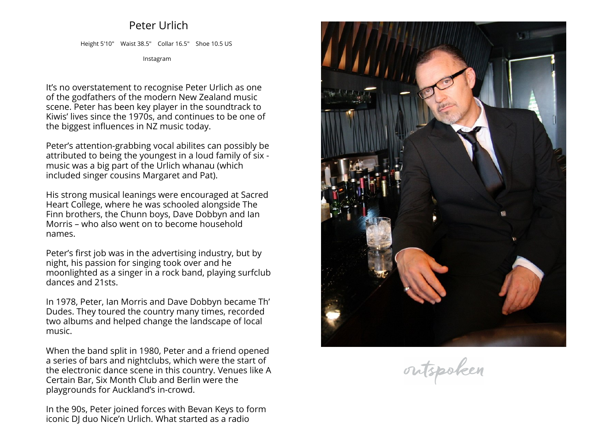## **Peter Urlich**

**Height 5'10" Waist 38.5" Collar 16.5" Shoe 10.5 US**

**[Instagram](https://www.instagram.com/peter.urlich)**

**It's no overstatement to recognise Peter Urlich as one of the godfathers of the modern New Zealand music scene. Peter has been key <sup>p</sup>layer in the soundtrack to Kiwis' lives since the 1970s, and continues to be one of the biggest influences in NZ music today.**

**Peter's attention-grabbing vocal abilites can possibly be attributed to being the youngest in <sup>a</sup> loud family of six - music was <sup>a</sup> big part of the Urlich whanau (which included singer cousins Margaret and Pat).**

**His strong musical leanings were encouraged at Sacred Heart College, where he was schooled alongside The Finn brothers, the Chunn boys, Dave Dobbyn and Ian Morris – who also went on to become household names.**

**Peter's first job was in the advertising industry, but by night, his passion for singing took over and he moonlighted as <sup>a</sup> singer in <sup>a</sup> rock band, <sup>p</sup>laying surfclub dances and 21sts.**

**In 1978, Peter, Ian Morris and Dave Dobbyn became Th' Dudes. They toured the country many times, recorded two albums and helped change the landscape of local music.**

**When the band split in 1980, Peter and <sup>a</sup> friend opened a series of bars and nightclubs, which were the start of the electronic dance scene in this country. Venues like <sup>A</sup>Certain Bar, Six Month Club and Berlin were the playgrounds for Auckland's in-crowd.**

**In the 90s, Peter joined forces with Bevan Keys to formiconic DJ duo Nice'n Urlich. What started as <sup>a</sup> radio**



outspoken